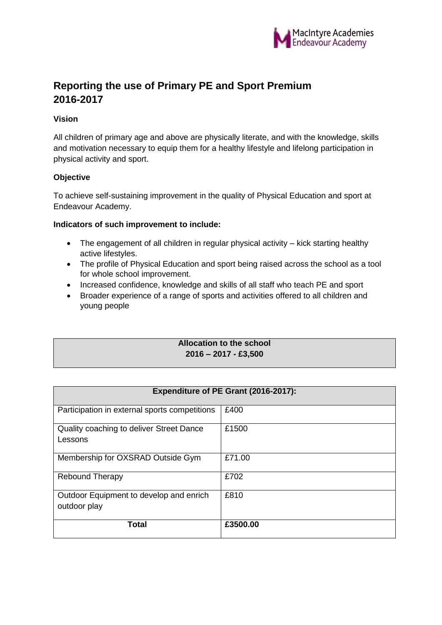

# **Reporting the use of Primary PE and Sport Premium 2016-2017**

## **Vision**

All children of primary age and above are physically literate, and with the knowledge, skills and motivation necessary to equip them for a healthy lifestyle and lifelong participation in physical activity and sport.

# **Objective**

To achieve self-sustaining improvement in the quality of Physical Education and sport at Endeavour Academy.

#### **Indicators of such improvement to include:**

- The engagement of all children in regular physical activity kick starting healthy active lifestyles.
- The profile of Physical Education and sport being raised across the school as a tool for whole school improvement.
- Increased confidence, knowledge and skills of all staff who teach PE and sport
- Broader experience of a range of sports and activities offered to all children and young people

#### **Allocation to the school 2016 – 2017 - £3,500**

| Expenditure of PE Grant (2016-2017):                    |          |  |
|---------------------------------------------------------|----------|--|
| Participation in external sports competitions           | £400     |  |
| Quality coaching to deliver Street Dance<br>Lessons     | £1500    |  |
| Membership for OXSRAD Outside Gym                       | £71.00   |  |
| <b>Rebound Therapy</b>                                  | £702     |  |
| Outdoor Equipment to develop and enrich<br>outdoor play | £810     |  |
| Total                                                   | £3500.00 |  |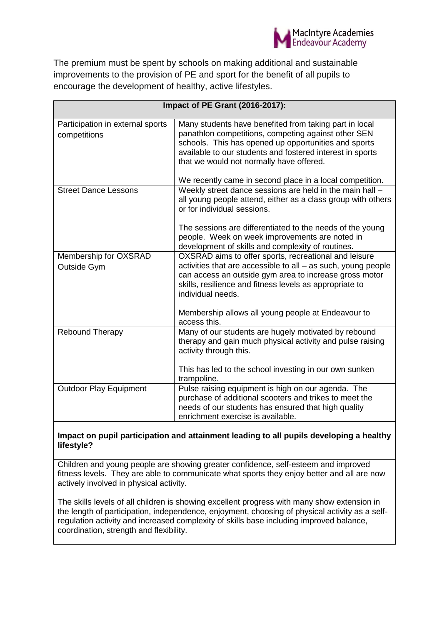

The premium must be spent by schools on making additional and sustainable improvements to the provision of PE and sport for the benefit of all pupils to encourage the development of healthy, active lifestyles.

| Impact of PE Grant (2016-2017):                  |                                                                                                                                                                                                                                                                                                                                            |
|--------------------------------------------------|--------------------------------------------------------------------------------------------------------------------------------------------------------------------------------------------------------------------------------------------------------------------------------------------------------------------------------------------|
| Participation in external sports<br>competitions | Many students have benefited from taking part in local<br>panathlon competitions, competing against other SEN<br>schools. This has opened up opportunities and sports<br>available to our students and fostered interest in sports<br>that we would not normally have offered.<br>We recently came in second place in a local competition. |
| <b>Street Dance Lessons</b>                      | Weekly street dance sessions are held in the main hall -<br>all young people attend, either as a class group with others<br>or for individual sessions.<br>The sessions are differentiated to the needs of the young<br>people. Week on week improvements are noted in<br>development of skills and complexity of routines.                |
| Membership for OXSRAD<br>Outside Gym             | OXSRAD aims to offer sports, recreational and leisure<br>activities that are accessible to all - as such, young people<br>can access an outside gym area to increase gross motor<br>skills, resilience and fitness levels as appropriate to<br>individual needs.<br>Membership allows all young people at Endeavour to<br>access this.     |
| Rebound Therapy                                  | Many of our students are hugely motivated by rebound<br>therapy and gain much physical activity and pulse raising<br>activity through this.<br>This has led to the school investing in our own sunken<br>trampoline.                                                                                                                       |
| <b>Outdoor Play Equipment</b>                    | Pulse raising equipment is high on our agenda. The<br>purchase of additional scooters and trikes to meet the<br>needs of our students has ensured that high quality<br>enrichment exercise is available.                                                                                                                                   |

## **Impact on pupil participation and attainment leading to all pupils developing a healthy lifestyle?**

Children and young people are showing greater confidence, self-esteem and improved fitness levels. They are able to communicate what sports they enjoy better and all are now actively involved in physical activity.

The skills levels of all children is showing excellent progress with many show extension in the length of participation, independence, enjoyment, choosing of physical activity as a selfregulation activity and increased complexity of skills base including improved balance, coordination, strength and flexibility.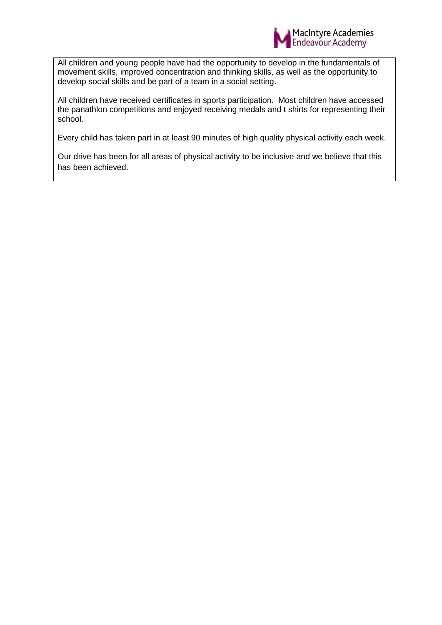

All children and young people have had the opportunity to develop in the fundamentals of movement skills, improved concentration and thinking skills, as well as the opportunity to develop social skills and be part of a team in a social setting.

All children have received certificates in sports participation. Most children have accessed the panathlon competitions and enjoyed receiving medals and t shirts for representing their school.

Every child has taken part in at least 90 minutes of high quality physical activity each week.

Our drive has been for all areas of physical activity to be inclusive and we believe that this has been achieved.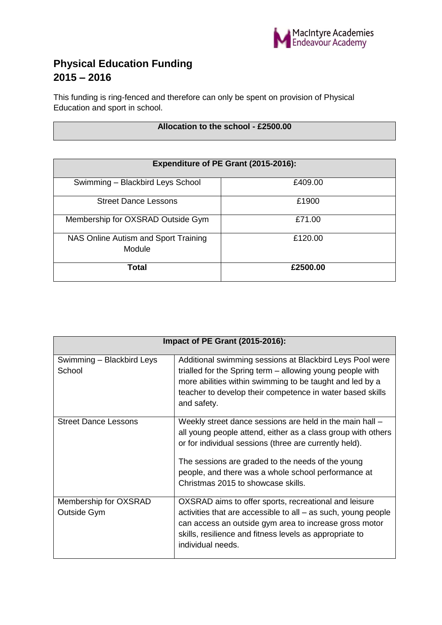

# **Physical Education Funding 2015 – 2016**

This funding is ring-fenced and therefore can only be spent on provision of Physical Education and sport in school.

## **Allocation to the school - £2500.00**

| Expenditure of PE Grant (2015-2016):           |          |
|------------------------------------------------|----------|
| Swimming - Blackbird Leys School               | £409.00  |
| <b>Street Dance Lessons</b>                    | £1900    |
| Membership for OXSRAD Outside Gym              | £71.00   |
| NAS Online Autism and Sport Training<br>Module | £120.00  |
| Total                                          | £2500.00 |

| Impact of PE Grant (2015-2016):      |                                                                                                                                                                                                                                                                                                                                      |
|--------------------------------------|--------------------------------------------------------------------------------------------------------------------------------------------------------------------------------------------------------------------------------------------------------------------------------------------------------------------------------------|
| Swimming - Blackbird Leys<br>School  | Additional swimming sessions at Blackbird Leys Pool were<br>trialled for the Spring term – allowing young people with<br>more abilities within swimming to be taught and led by a<br>teacher to develop their competence in water based skills<br>and safety.                                                                        |
| <b>Street Dance Lessons</b>          | Weekly street dance sessions are held in the main hall -<br>all young people attend, either as a class group with others<br>or for individual sessions (three are currently held).<br>The sessions are graded to the needs of the young<br>people, and there was a whole school performance at<br>Christmas 2015 to showcase skills. |
| Membership for OXSRAD<br>Outside Gym | OXSRAD aims to offer sports, recreational and leisure<br>activities that are accessible to all – as such, young people<br>can access an outside gym area to increase gross motor<br>skills, resilience and fitness levels as appropriate to<br>individual needs.                                                                     |